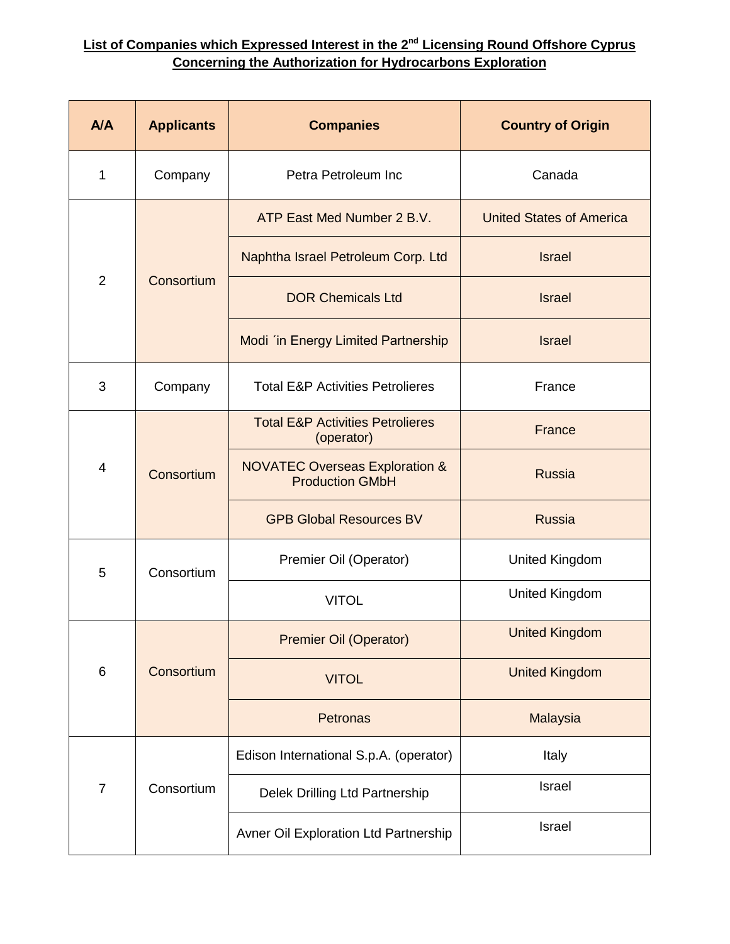## **List of Companies which Expressed Interest in the 2nd Licensing Round Offshore Cyprus Concerning the Authorization for Hydrocarbons Exploration**

| A/A            | <b>Applicants</b> | <b>Companies</b>                                                    | <b>Country of Origin</b>        |
|----------------|-------------------|---------------------------------------------------------------------|---------------------------------|
| 1              | Company           | Petra Petroleum Inc                                                 | Canada                          |
| $\overline{2}$ | Consortium        | ATP East Med Number 2 B.V.                                          | <b>United States of America</b> |
|                |                   | Naphtha Israel Petroleum Corp. Ltd                                  | <b>Israel</b>                   |
|                |                   | <b>DOR Chemicals Ltd</b>                                            | <b>Israel</b>                   |
|                |                   | Modi 'in Energy Limited Partnership                                 | <b>Israel</b>                   |
| 3              | Company           | <b>Total E&amp;P Activities Petrolieres</b>                         | France                          |
| 4              | Consortium        | <b>Total E&amp;P Activities Petrolieres</b><br>(operator)           | France                          |
|                |                   | <b>NOVATEC Overseas Exploration &amp;</b><br><b>Production GMbH</b> | <b>Russia</b>                   |
|                |                   | <b>GPB Global Resources BV</b>                                      | <b>Russia</b>                   |
| 5              | Consortium        | Premier Oil (Operator)                                              | <b>United Kingdom</b>           |
|                |                   | <b>VITOL</b>                                                        | <b>United Kingdom</b>           |
| 6              | Consortium        | <b>Premier Oil (Operator)</b>                                       | <b>United Kingdom</b>           |
|                |                   | <b>VITOL</b>                                                        | <b>United Kingdom</b>           |
|                |                   | Petronas                                                            | Malaysia                        |
| $\overline{7}$ | Consortium        | Edison International S.p.A. (operator)                              | Italy                           |
|                |                   | Delek Drilling Ltd Partnership                                      | Israel                          |
|                |                   | Avner Oil Exploration Ltd Partnership                               | Israel                          |